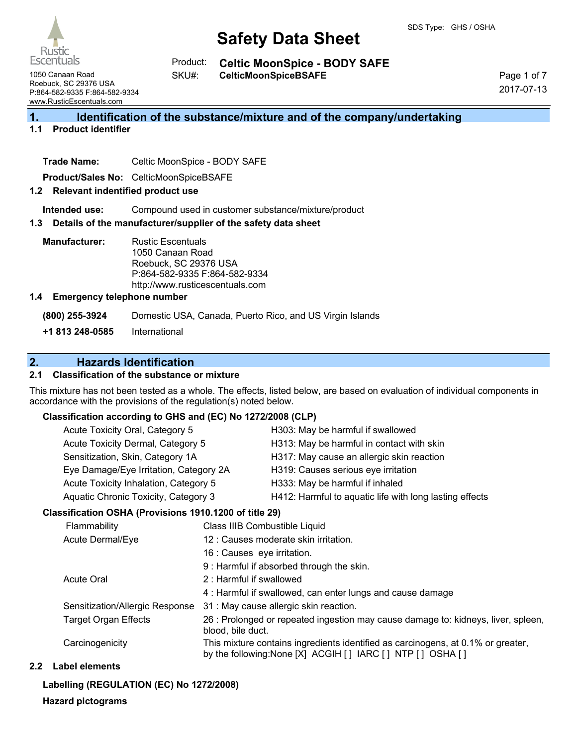Rustic **Escentuals** 

**Celtic MoonSpice - BODY SAFE** Product:

1050 Canaan Road Roebuck, SC 29376 USA P:864-582-9335 F:864-582-9334 www.RusticEscentuals.com

**CelticMoonSpiceBSAFE** SKU#:

Page 1 of 7 2017-07-13

# **1. Identification of the substance/mixture and of the company/undertaking**

# **1.1 Product identifier**

**Trade Name:** Celtic MoonSpice - BODY SAFE

**Product/Sales No:** CelticMoonSpiceBSAFE

#### **1.2 Relevant indentified product use**

**Intended use:** Compound used in customer substance/mixture/product

#### **1.3 Details of the manufacturer/supplier of the safety data sheet**

**Manufacturer:** Rustic Escentuals 1050 Canaan Road Roebuck, SC 29376 USA P:864-582-9335 F:864-582-9334 http://www.rusticescentuals.com

#### **1.4 Emergency telephone number**

**(800) 255-3924** Domestic USA, Canada, Puerto Rico, and US Virgin Islands

**+1 813 248-0585** International

# **2. Hazards Identification**

## **2.1 Classification of the substance or mixture**

This mixture has not been tested as a whole. The effects, listed below, are based on evaluation of individual components in accordance with the provisions of the regulation(s) noted below.

#### **Classification according to GHS and (EC) No 1272/2008 (CLP)**

| Acute Toxicity Oral, Category 5        | H303: May be harmful if swallowed                       |
|----------------------------------------|---------------------------------------------------------|
| Acute Toxicity Dermal, Category 5      | H313: May be harmful in contact with skin               |
| Sensitization, Skin, Category 1A       | H317: May cause an allergic skin reaction               |
| Eye Damage/Eye Irritation, Category 2A | H319: Causes serious eye irritation                     |
| Acute Toxicity Inhalation, Category 5  | H333: May be harmful if inhaled                         |
| Aquatic Chronic Toxicity, Category 3   | H412: Harmful to aquatic life with long lasting effects |

#### **Classification OSHA (Provisions 1910.1200 of title 29)**

| Flammability                    | Class IIIB Combustible Liquid                                                                                                                  |
|---------------------------------|------------------------------------------------------------------------------------------------------------------------------------------------|
| Acute Dermal/Eye                | 12 : Causes moderate skin irritation.                                                                                                          |
|                                 | 16 : Causes eye irritation.                                                                                                                    |
|                                 | 9 : Harmful if absorbed through the skin.                                                                                                      |
| <b>Acute Oral</b>               | 2: Harmful if swallowed                                                                                                                        |
|                                 | 4: Harmful if swallowed, can enter lungs and cause damage                                                                                      |
| Sensitization/Allergic Response | 31 : May cause allergic skin reaction.                                                                                                         |
| <b>Target Organ Effects</b>     | 26 : Prolonged or repeated ingestion may cause damage to: kidneys, liver, spleen,<br>blood, bile duct.                                         |
| Carcinogenicity                 | This mixture contains ingredients identified as carcinogens, at 0.1% or greater,<br>by the following: None [X] ACGIH [] IARC [] NTP [] OSHA [] |
|                                 |                                                                                                                                                |

#### **2.2 Label elements**

#### **Labelling (REGULATION (EC) No 1272/2008)**

#### **Hazard pictograms**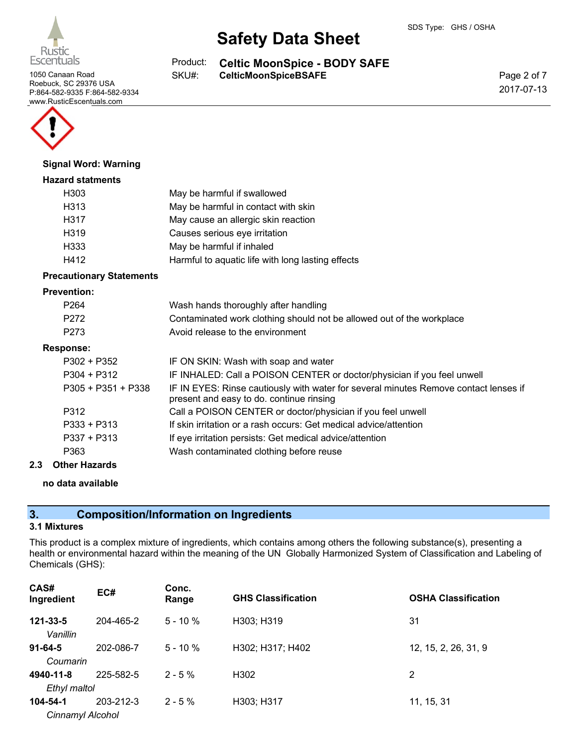

Roebuck, SC 29376 USA P:864-582-9335 F:864-582-9334 www.RusticEscentuals.com



#### **Signal Word: Warning**

#### **Hazard statments**

| H <sub>303</sub> | May be harmful if swallowed                       |
|------------------|---------------------------------------------------|
| H313             | May be harmful in contact with skin               |
| H317             | May cause an allergic skin reaction               |
| H319             | Causes serious eye irritation                     |
| H333             | May be harmful if inhaled                         |
| H412             | Harmful to aquatic life with long lasting effects |

#### **Precautionary Statements**

#### **Prevention:**

| P <sub>264</sub><br>P <sub>272</sub><br>P <sub>273</sub> | Wash hands thoroughly after handling<br>Contaminated work clothing should not be allowed out of the workplace<br>Avoid release to the environment |
|----------------------------------------------------------|---------------------------------------------------------------------------------------------------------------------------------------------------|
| <b>Response:</b>                                         |                                                                                                                                                   |
| $P302 + P352$                                            | IF ON SKIN: Wash with soap and water                                                                                                              |
| $P304 + P312$                                            | IF INHALED: Call a POISON CENTER or doctor/physician if you feel unwell                                                                           |
| $P305 + P351 + P338$                                     | IF IN EYES: Rinse cautiously with water for several minutes Remove contact lenses if<br>present and easy to do. continue rinsing                  |
| P312                                                     | Call a POISON CENTER or doctor/physician if you feel unwell                                                                                       |
| $P333 + P313$                                            | If skin irritation or a rash occurs: Get medical advice/attention                                                                                 |
| $P337 + P313$                                            | If eye irritation persists: Get medical advice/attention                                                                                          |
| P363                                                     | Wash contaminated clothing before reuse                                                                                                           |

#### **2.3 Other Hazards**

# **no data available**

# **3. Composition/Information on Ingredients**

### **3.1 Mixtures**

This product is a complex mixture of ingredients, which contains among others the following substance(s), presenting a health or environmental hazard within the meaning of the UN Globally Harmonized System of Classification and Labeling of Chemicals (GHS):

| CAS#<br>Ingredient           | EC#       | Conc.<br>Range | <b>GHS Classification</b> | <b>OSHA Classification</b> |
|------------------------------|-----------|----------------|---------------------------|----------------------------|
| 121-33-5<br>Vanillin         | 204-465-2 | $5 - 10 \%$    | H303; H319                | 31                         |
| $91 - 64 - 5$<br>Coumarin    | 202-086-7 | $5 - 10 \%$    | H302; H317; H402          | 12, 15, 2, 26, 31, 9       |
| 4940-11-8<br>Ethyl maltol    | 225-582-5 | $2 - 5\%$      | H <sub>302</sub>          | 2                          |
| 104-54-1<br>Cinnamyl Alcohol | 203-212-3 | $2 - 5\%$      | H303; H317                | 11, 15, 31                 |

**Celtic MoonSpice - BODY SAFE** 1050 Canaan Road **CELT SKU#:** CelticMoonSpiceBSAFE Product: SKU#:

**Safety Data Sheet**

Page 2 of 7 2017-07-13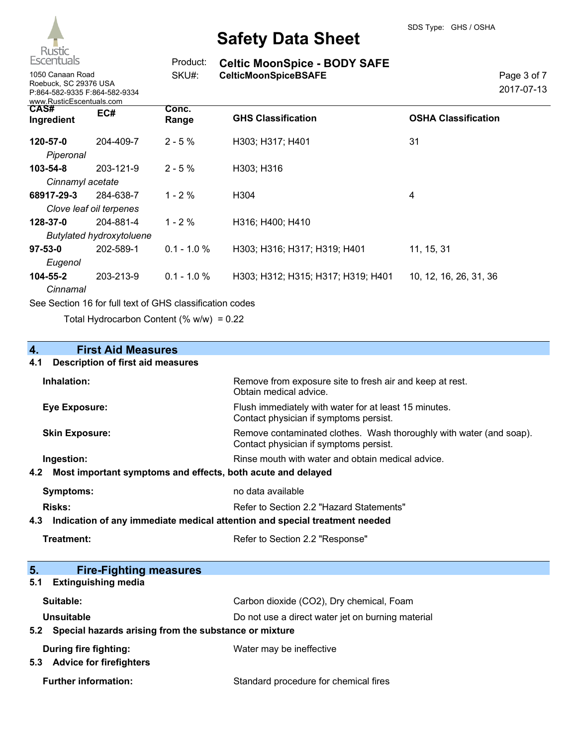

# Page 3 of 7 2017-07-13

1050 Canaan Road **CelticMoonSpiceBSAFE** Roebuck, SC 29376 USA P:864-582-9335 F:864-582-9334 www.RusticEscentuals.com

| Product: | <b>Celtic MoonSpice - BODY SAFE</b> |
|----------|-------------------------------------|
| SKU#:    | <b>CelticMoonSpiceBSAFE</b>         |

| WWW.RUSHCESCONDUCIS.COM            |                                              |                |                                    |                            |
|------------------------------------|----------------------------------------------|----------------|------------------------------------|----------------------------|
| <b>CAS#</b><br>Ingredient          | EC#                                          | Conc.<br>Range | <b>GHS Classification</b>          | <b>OSHA Classification</b> |
| 120-57-0<br>Piperonal              | 204-409-7                                    | $2 - 5\%$      | H303; H317; H401                   | 31                         |
| $103 - 54 - 8$<br>Cinnamyl acetate | 203-121-9                                    | $2 - 5%$       | H303; H316                         |                            |
| 68917-29-3                         | 284-638-7<br>Clove leaf oil terpenes         | $1 - 2 \%$     | H <sub>304</sub>                   | 4                          |
| 128-37-0                           | 204-881-4<br><b>Butylated hydroxytoluene</b> | $1 - 2\%$      | H316; H400; H410                   |                            |
| $97 - 53 - 0$<br>Eugenol           | 202-589-1                                    | $0.1 - 1.0 %$  | H303; H316; H317; H319; H401       | 11, 15, 31                 |
| 104-55-2<br>Cinnamal               | 203-213-9                                    | $0.1 - 1.0 %$  | H303; H312; H315; H317; H319; H401 | 10, 12, 16, 26, 31, 36     |
|                                    |                                              |                |                                    |                            |

See Section 16 for full text of GHS classification codes

Total Hydrocarbon Content  $(% \mathcal{O}_{N})$  = 0.22

# **4. First Aid Measures**

### **4.1 Description of first aid measures**

| 5.<br><b>Fire-Fighting measures</b>                                |                                                                                                               |
|--------------------------------------------------------------------|---------------------------------------------------------------------------------------------------------------|
| Treatment:                                                         | Refer to Section 2.2 "Response"                                                                               |
| 4.3                                                                | Indication of any immediate medical attention and special treatment needed                                    |
| <b>Risks:</b>                                                      | Refer to Section 2.2 "Hazard Statements"                                                                      |
| <b>Symptoms:</b>                                                   | no data available                                                                                             |
| Most important symptoms and effects, both acute and delayed<br>4.2 |                                                                                                               |
| Ingestion:                                                         | Rinse mouth with water and obtain medical advice.                                                             |
| <b>Skin Exposure:</b>                                              | Remove contaminated clothes. Wash thoroughly with water (and soap).<br>Contact physician if symptoms persist. |
| <b>Eye Exposure:</b>                                               | Flush immediately with water for at least 15 minutes.<br>Contact physician if symptoms persist.               |
| Inhalation:                                                        | Remove from exposure site to fresh air and keep at rest.<br>Obtain medical advice.                            |
|                                                                    |                                                                                                               |

# **5.1 Extinguishing media**

| 5.2 Special hazards arising from the substance or mixture |                                                   |  |
|-----------------------------------------------------------|---------------------------------------------------|--|
| Unsuitable                                                | Do not use a direct water jet on burning material |  |
| Suitable:                                                 | Carbon dioxide (CO2), Dry chemical, Foam          |  |

# **During fire fighting:** Water may be ineffective **5.3 Advice for firefighters**

**Further information:** Standard procedure for chemical fires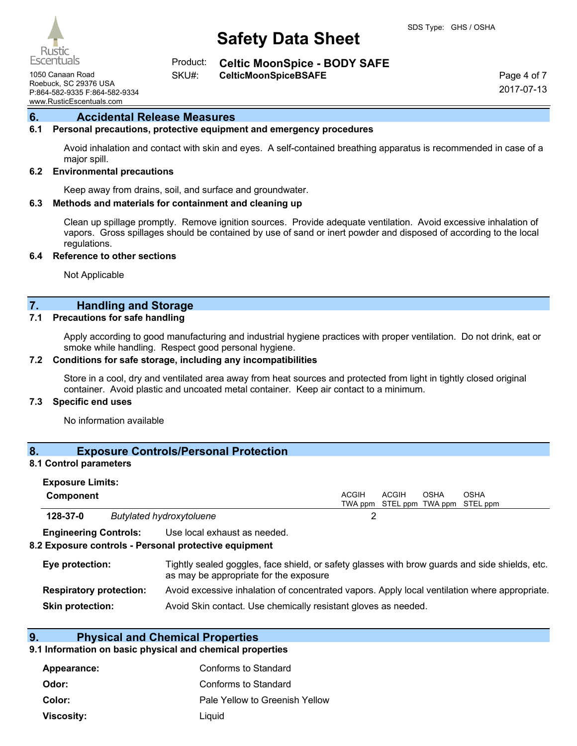Escentuals

**Celtic MoonSpice - BODY SAFE** Product:

1050 Canaan Road **CelticMoonSpiceBSAFE** SKU#:

Roebuck, SC 29376 USA P:864-582-9335 F:864-582-9334 www.RusticEscentuals.com

Page 4 of 7 2017-07-13

### **6. Accidental Release Measures**

#### **6.1 Personal precautions, protective equipment and emergency procedures**

Avoid inhalation and contact with skin and eyes. A self-contained breathing apparatus is recommended in case of a major spill.

#### **6.2 Environmental precautions**

Keep away from drains, soil, and surface and groundwater.

#### **6.3 Methods and materials for containment and cleaning up**

Clean up spillage promptly. Remove ignition sources. Provide adequate ventilation. Avoid excessive inhalation of vapors. Gross spillages should be contained by use of sand or inert powder and disposed of according to the local regulations.

#### **6.4 Reference to other sections**

Not Applicable

### **7. Handling and Storage**

#### **7.1 Precautions for safe handling**

Apply according to good manufacturing and industrial hygiene practices with proper ventilation. Do not drink, eat or smoke while handling. Respect good personal hygiene.

#### **7.2 Conditions for safe storage, including any incompatibilities**

Store in a cool, dry and ventilated area away from heat sources and protected from light in tightly closed original container. Avoid plastic and uncoated metal container. Keep air contact to a minimum.

#### **7.3 Specific end uses**

No information available

### **8. Exposure Controls/Personal Protection**

### **8.1 Control parameters**

| <b>Exposure Limits:</b>                                                                                                                                     |                                                                                           |                                                                                               |              |              |             |                                           |
|-------------------------------------------------------------------------------------------------------------------------------------------------------------|-------------------------------------------------------------------------------------------|-----------------------------------------------------------------------------------------------|--------------|--------------|-------------|-------------------------------------------|
| Component                                                                                                                                                   |                                                                                           |                                                                                               | <b>ACGIH</b> | <b>ACGIH</b> | <b>OSHA</b> | OSHA<br>TWA ppm STEL ppm TWA ppm STEL ppm |
| 128-37-0                                                                                                                                                    |                                                                                           | Butylated hydroxytoluene                                                                      |              |              |             |                                           |
| <b>Engineering Controls:</b>                                                                                                                                |                                                                                           | Use local exhaust as needed.<br>8.2 Exposure controls - Personal protective equipment         |              |              |             |                                           |
| Tightly sealed goggles, face shield, or safety glasses with brow guards and side shields, etc.<br>Eye protection:<br>as may be appropriate for the exposure |                                                                                           |                                                                                               |              |              |             |                                           |
| <b>Respiratory protection:</b>                                                                                                                              |                                                                                           | Avoid excessive inhalation of concentrated vapors. Apply local ventilation where appropriate. |              |              |             |                                           |
|                                                                                                                                                             | Avoid Skin contact. Use chemically resistant gloves as needed.<br><b>Skin protection:</b> |                                                                                               |              |              |             |                                           |

#### **9. Physical and Chemical Properties**

#### **9.1 Information on basic physical and chemical properties**

| Appearance: | Conforms to Standard           |
|-------------|--------------------------------|
| Odor:       | Conforms to Standard           |
| Color:      | Pale Yellow to Greenish Yellow |
| Viscosity:  | Liguid                         |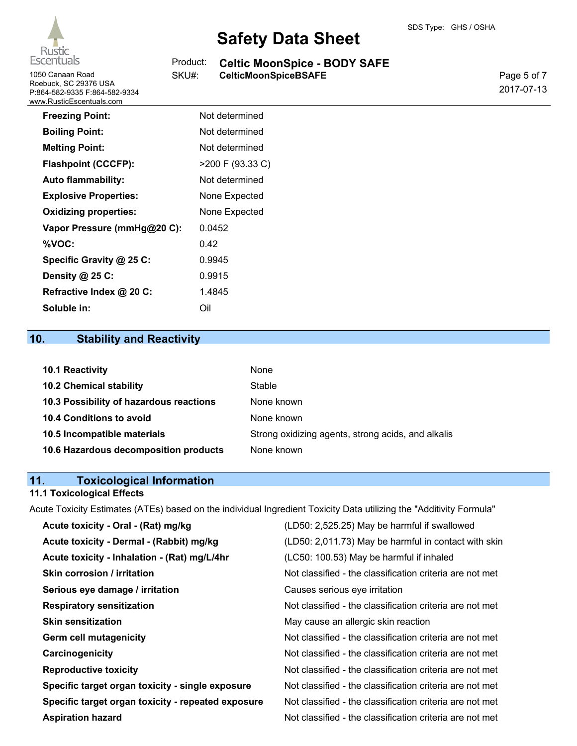

1050 Canaan Road **CELT SKU#:** CelticMoonSpiceBSAFE Roebuck, SC 29376 USA P:864-582-9335 F:864-582-9334 www.RusticEscentuals.com

# **Safety Data Sheet**

#### **Celtic MoonSpice - BODY SAFE** Product:

SKU#:

Page 5 of 7 2017-07-13

| <b>Freezing Point:</b>       | Not determined   |
|------------------------------|------------------|
| <b>Boiling Point:</b>        | Not determined   |
| <b>Melting Point:</b>        | Not determined   |
| <b>Flashpoint (CCCFP):</b>   | >200 F (93.33 C) |
| <b>Auto flammability:</b>    | Not determined   |
| <b>Explosive Properties:</b> | None Expected    |
| <b>Oxidizing properties:</b> | None Expected    |
| Vapor Pressure (mmHg@20 C):  | 0.0452           |
| %VOC:                        | 0.42             |
| Specific Gravity @ 25 C:     | 0.9945           |
| Density @ 25 C:              | 0.9915           |
| Refractive Index @ 20 C:     | 1.4845           |
| Soluble in:                  | Oil              |

# **10. Stability and Reactivity**

| 10.1 Reactivity                         | None                                               |
|-----------------------------------------|----------------------------------------------------|
| <b>10.2 Chemical stability</b>          | Stable                                             |
| 10.3 Possibility of hazardous reactions | None known                                         |
| <b>10.4 Conditions to avoid</b>         | None known                                         |
| 10.5 Incompatible materials             | Strong oxidizing agents, strong acids, and alkalis |
| 10.6 Hazardous decomposition products   | None known                                         |

# **11. Toxicological Information**

#### **11.1 Toxicological Effects**

Acute Toxicity Estimates (ATEs) based on the individual Ingredient Toxicity Data utilizing the "Additivity Formula"

| Acute toxicity - Oral - (Rat) mg/kg                | (LD50: 2,525.25) May be harmful if swallowed             |
|----------------------------------------------------|----------------------------------------------------------|
| Acute toxicity - Dermal - (Rabbit) mg/kg           | (LD50: 2,011.73) May be harmful in contact with skin     |
| Acute toxicity - Inhalation - (Rat) mg/L/4hr       | (LC50: 100.53) May be harmful if inhaled                 |
| <b>Skin corrosion / irritation</b>                 | Not classified - the classification criteria are not met |
| Serious eye damage / irritation                    | Causes serious eye irritation                            |
| <b>Respiratory sensitization</b>                   | Not classified - the classification criteria are not met |
| <b>Skin sensitization</b>                          | May cause an allergic skin reaction                      |
| Germ cell mutagenicity                             | Not classified - the classification criteria are not met |
| Carcinogenicity                                    | Not classified - the classification criteria are not met |
| <b>Reproductive toxicity</b>                       | Not classified - the classification criteria are not met |
| Specific target organ toxicity - single exposure   | Not classified - the classification criteria are not met |
| Specific target organ toxicity - repeated exposure | Not classified - the classification criteria are not met |
| <b>Aspiration hazard</b>                           | Not classified - the classification criteria are not met |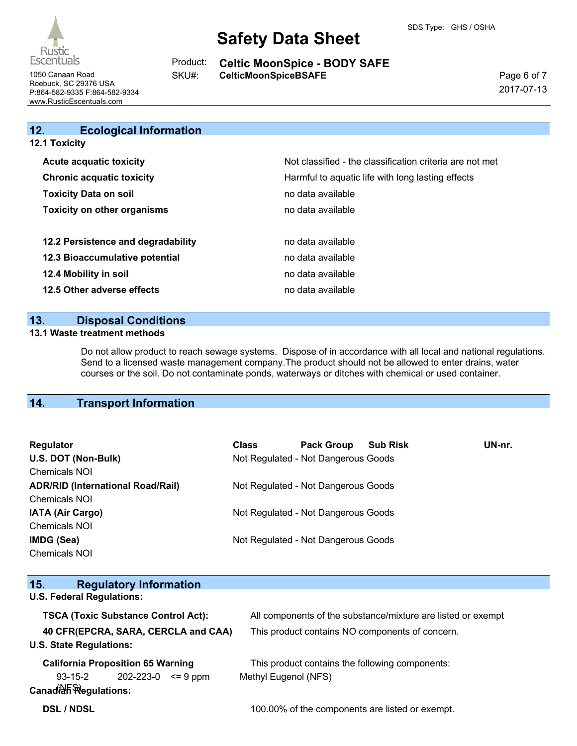

**Celtic MoonSpice - BODY SAFE** 1050 Canaan Road **CELT SKU#:** CelticMoonSpiceBSAFE Product: SKU#:

Page 6 of 7 2017-07-13

Roebuck, SC 29376 USA P:864-582-9335 F:864-582-9334 www.RusticEscentuals.com

| 12.<br><b>Ecological Information</b> |                                                          |
|--------------------------------------|----------------------------------------------------------|
| <b>12.1 Toxicity</b>                 |                                                          |
| <b>Acute acquatic toxicity</b>       | Not classified - the classification criteria are not met |
| <b>Chronic acquatic toxicity</b>     | Harmful to aquatic life with long lasting effects        |
| <b>Toxicity Data on soil</b>         | no data available                                        |
| <b>Toxicity on other organisms</b>   | no data available                                        |
| 12.2 Persistence and degradability   | no data available                                        |
| 12.3 Bioaccumulative potential       | no data available                                        |
| 12.4 Mobility in soil                | no data available                                        |
| 12.5 Other adverse effects           | no data available                                        |

# **13. Disposal Conditions**

#### **13.1 Waste treatment methods**

Do not allow product to reach sewage systems. Dispose of in accordance with all local and national regulations. Send to a licensed waste management company.The product should not be allowed to enter drains, water courses or the soil. Do not contaminate ponds, waterways or ditches with chemical or used container.

# **14. Transport Information**

| Regulator                                | <b>Class</b> | <b>Pack Group</b>                   | <b>Sub Risk</b> | UN-nr. |
|------------------------------------------|--------------|-------------------------------------|-----------------|--------|
| U.S. DOT (Non-Bulk)                      |              | Not Regulated - Not Dangerous Goods |                 |        |
| <b>Chemicals NOI</b>                     |              |                                     |                 |        |
| <b>ADR/RID (International Road/Rail)</b> |              | Not Regulated - Not Dangerous Goods |                 |        |
| <b>Chemicals NOI</b>                     |              |                                     |                 |        |
| <b>IATA (Air Cargo)</b>                  |              | Not Regulated - Not Dangerous Goods |                 |        |
| <b>Chemicals NOI</b>                     |              |                                     |                 |        |
| IMDG (Sea)                               |              | Not Regulated - Not Dangerous Goods |                 |        |
| <b>Chemicals NOI</b>                     |              |                                     |                 |        |

| 15.<br><b>Regulatory Information</b>       |                                                              |
|--------------------------------------------|--------------------------------------------------------------|
| <b>U.S. Federal Regulations:</b>           |                                                              |
| <b>TSCA (Toxic Substance Control Act):</b> | All components of the substance/mixture are listed or exempt |
| 40 CFR(EPCRA, SARA, CERCLA and CAA)        | This product contains NO components of concern.              |
| <b>U.S. State Regulations:</b>             |                                                              |
| <b>California Proposition 65 Warning</b>   | This product contains the following components:              |
| $93-15-2$ 202-223-0 $\leq 9$ ppm           | Methyl Eugenol (NFS)                                         |
| Canadion Regulations:                      |                                                              |
| <b>DSL / NDSL</b>                          | 100.00% of the components are listed or exempt.              |